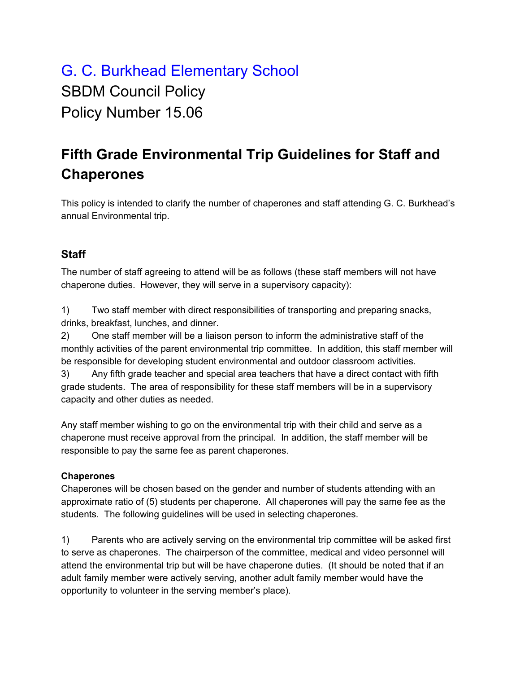## G. C. Burkhead Elementary School SBDM Council Policy Policy Number 15.06

## **Fifth Grade Environmental Trip Guidelines for Staff and Chaperones**

This policy is intended to clarify the number of chaperones and staff attending G. C. Burkhead's annual Environmental trip.

## **Staff**

The number of staff agreeing to attend will be as follows (these staff members will not have chaperone duties. However, they will serve in a supervisory capacity):

1) Two staff member with direct responsibilities of transporting and preparing snacks, drinks, breakfast, lunches, and dinner.

2) One staff member will be a liaison person to inform the administrative staff of the monthly activities of the parent environmental trip committee. In addition, this staff member will be responsible for developing student environmental and outdoor classroom activities.

3) Any fifth grade teacher and special area teachers that have a direct contact with fifth grade students. The area of responsibility for these staff members will be in a supervisory capacity and other duties as needed.

Any staff member wishing to go on the environmental trip with their child and serve as a chaperone must receive approval from the principal. In addition, the staff member will be responsible to pay the same fee as parent chaperones.

## **Chaperones**

Chaperones will be chosen based on the gender and number of students attending with an approximate ratio of (5) students per chaperone. All chaperones will pay the same fee as the students. The following guidelines will be used in selecting chaperones.

1) Parents who are actively serving on the environmental trip committee will be asked first to serve as chaperones. The chairperson of the committee, medical and video personnel will attend the environmental trip but will be have chaperone duties. (It should be noted that if an adult family member were actively serving, another adult family member would have the opportunity to volunteer in the serving member's place).